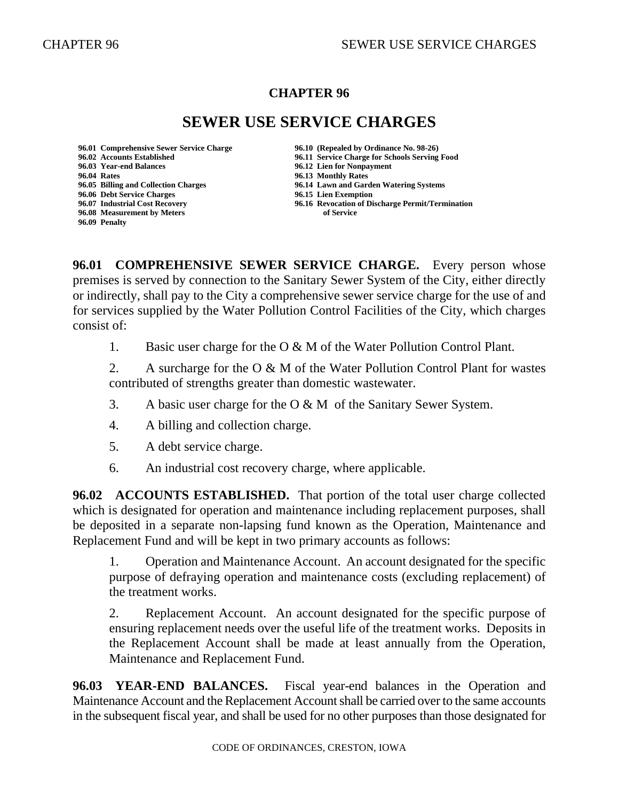### **CHAPTER 96**

# **SEWER USE SERVICE CHARGES**

**96.04 Rates 96.13 Monthly Rates 96.06 Debt Service Charges 96.15 Lien Exemption 96.08 Measurement by Meters of Service 96.09 Penalty**

**96.01 Comprehensive Sewer Service Charge 96.10 (Repealed by Ordinance No. 98-26) 96.02 Accounts Established 96.11 Service Charge for Schools Serving Food 96.12 Lien for Nonpayment 96.05 Billing and Collection Charges 96.14 Lawn and Garden Watering Systems 96.07 Industrial Cost Recovery 96.16 Revocation of Discharge Permit/Termination** 

**96.01 COMPREHENSIVE SEWER SERVICE CHARGE.** Every person whose premises is served by connection to the Sanitary Sewer System of the City, either directly or indirectly, shall pay to the City a comprehensive sewer service charge for the use of and for services supplied by the Water Pollution Control Facilities of the City, which charges consist of:

1. Basic user charge for the O & M of the Water Pollution Control Plant.

2. A surcharge for the O & M of the Water Pollution Control Plant for wastes contributed of strengths greater than domestic wastewater.

- 3. A basic user charge for the O & M of the Sanitary Sewer System.
- 4. A billing and collection charge.
- 5. A debt service charge.
- 6. An industrial cost recovery charge, where applicable.

**96.02 ACCOUNTS ESTABLISHED.** That portion of the total user charge collected which is designated for operation and maintenance including replacement purposes, shall be deposited in a separate non-lapsing fund known as the Operation, Maintenance and Replacement Fund and will be kept in two primary accounts as follows:

1. Operation and Maintenance Account. An account designated for the specific purpose of defraying operation and maintenance costs (excluding replacement) of the treatment works.

2. Replacement Account. An account designated for the specific purpose of ensuring replacement needs over the useful life of the treatment works. Deposits in the Replacement Account shall be made at least annually from the Operation, Maintenance and Replacement Fund.

**96.03 YEAR-END BALANCES.** Fiscal year-end balances in the Operation and Maintenance Account and the Replacement Account shall be carried over to the same accounts in the subsequent fiscal year, and shall be used for no other purposes than those designated for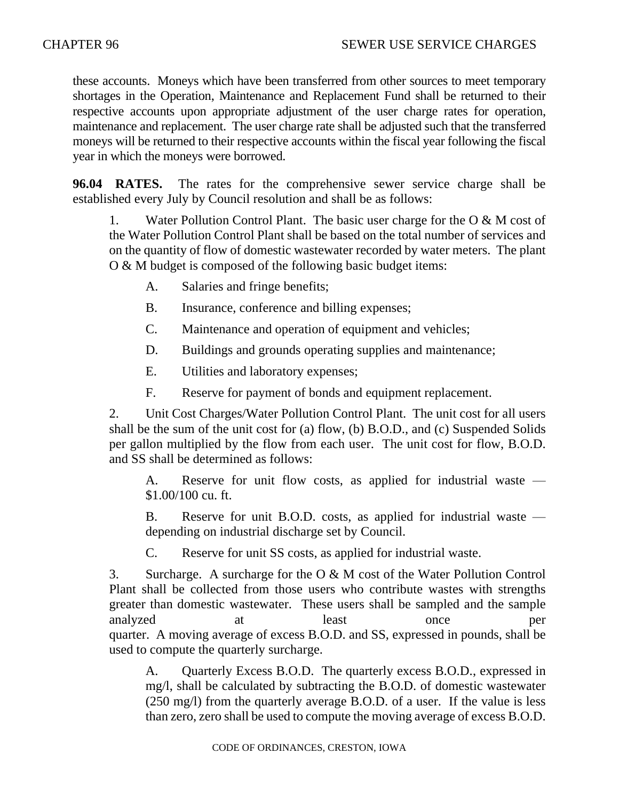these accounts. Moneys which have been transferred from other sources to meet temporary shortages in the Operation, Maintenance and Replacement Fund shall be returned to their respective accounts upon appropriate adjustment of the user charge rates for operation, maintenance and replacement. The user charge rate shall be adjusted such that the transferred moneys will be returned to their respective accounts within the fiscal year following the fiscal year in which the moneys were borrowed.

**96.04 RATES.** The rates for the comprehensive sewer service charge shall be established every July by Council resolution and shall be as follows:

1. Water Pollution Control Plant. The basic user charge for the O & M cost of the Water Pollution Control Plant shall be based on the total number of services and on the quantity of flow of domestic wastewater recorded by water meters. The plant O & M budget is composed of the following basic budget items:

- A. Salaries and fringe benefits;
- B. Insurance, conference and billing expenses;
- C. Maintenance and operation of equipment and vehicles;
- D. Buildings and grounds operating supplies and maintenance;
- E. Utilities and laboratory expenses;
- F. Reserve for payment of bonds and equipment replacement.

2. Unit Cost Charges/Water Pollution Control Plant. The unit cost for all users shall be the sum of the unit cost for (a) flow, (b) B.O.D., and (c) Suspended Solids per gallon multiplied by the flow from each user. The unit cost for flow, B.O.D. and SS shall be determined as follows:

A. Reserve for unit flow costs, as applied for industrial waste — \$1.00/100 cu. ft.

B. Reserve for unit B.O.D. costs, as applied for industrial waste depending on industrial discharge set by Council.

C. Reserve for unit SS costs, as applied for industrial waste.

3. Surcharge. A surcharge for the O & M cost of the Water Pollution Control Plant shall be collected from those users who contribute wastes with strengths greater than domestic wastewater. These users shall be sampled and the sample analyzed at a least once per quarter. A moving average of excess B.O.D. and SS, expressed in pounds, shall be used to compute the quarterly surcharge.

A. Quarterly Excess B.O.D. The quarterly excess B.O.D., expressed in mg/l, shall be calculated by subtracting the B.O.D. of domestic wastewater (250 mg/l) from the quarterly average B.O.D. of a user. If the value is less than zero, zero shall be used to compute the moving average of excess B.O.D.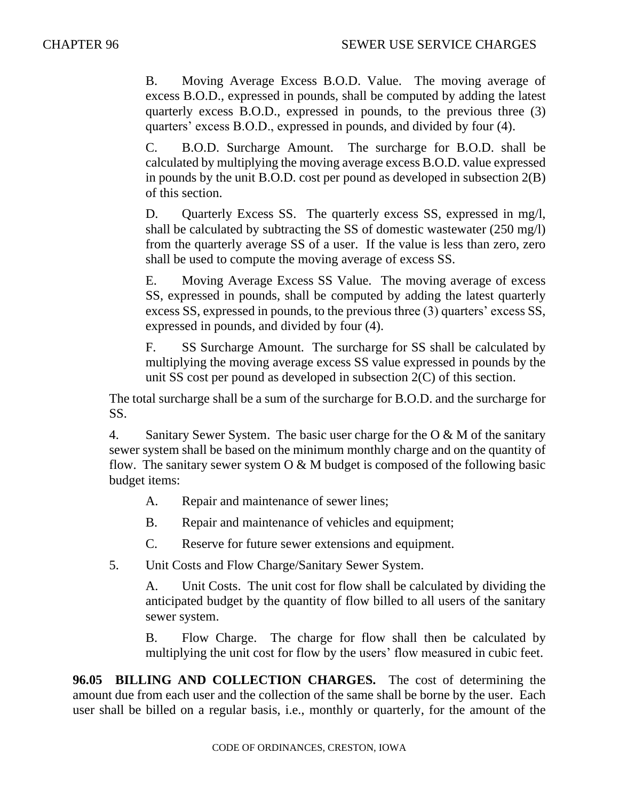B. Moving Average Excess B.O.D. Value. The moving average of excess B.O.D., expressed in pounds, shall be computed by adding the latest quarterly excess B.O.D., expressed in pounds, to the previous three (3) quarters' excess B.O.D., expressed in pounds, and divided by four (4).

C. B.O.D. Surcharge Amount. The surcharge for B.O.D. shall be calculated by multiplying the moving average excess B.O.D. value expressed in pounds by the unit B.O.D. cost per pound as developed in subsection 2(B) of this section.

D. Quarterly Excess SS. The quarterly excess SS, expressed in mg/l, shall be calculated by subtracting the SS of domestic wastewater (250 mg/l) from the quarterly average SS of a user. If the value is less than zero, zero shall be used to compute the moving average of excess SS.

E. Moving Average Excess SS Value. The moving average of excess SS, expressed in pounds, shall be computed by adding the latest quarterly excess SS, expressed in pounds, to the previous three (3) quarters' excess SS, expressed in pounds, and divided by four (4).

F. SS Surcharge Amount. The surcharge for SS shall be calculated by multiplying the moving average excess SS value expressed in pounds by the unit SS cost per pound as developed in subsection 2(C) of this section.

The total surcharge shall be a sum of the surcharge for B.O.D. and the surcharge for SS.

4. Sanitary Sewer System. The basic user charge for the  $\overline{O} \& M$  of the sanitary sewer system shall be based on the minimum monthly charge and on the quantity of flow. The sanitary sewer system  $O & M$  budget is composed of the following basic budget items:

- A. Repair and maintenance of sewer lines;
- B. Repair and maintenance of vehicles and equipment;

C. Reserve for future sewer extensions and equipment.

5. Unit Costs and Flow Charge/Sanitary Sewer System.

A. Unit Costs. The unit cost for flow shall be calculated by dividing the anticipated budget by the quantity of flow billed to all users of the sanitary sewer system.

B. Flow Charge. The charge for flow shall then be calculated by multiplying the unit cost for flow by the users' flow measured in cubic feet.

**96.05 BILLING AND COLLECTION CHARGES.** The cost of determining the amount due from each user and the collection of the same shall be borne by the user. Each user shall be billed on a regular basis, i.e., monthly or quarterly, for the amount of the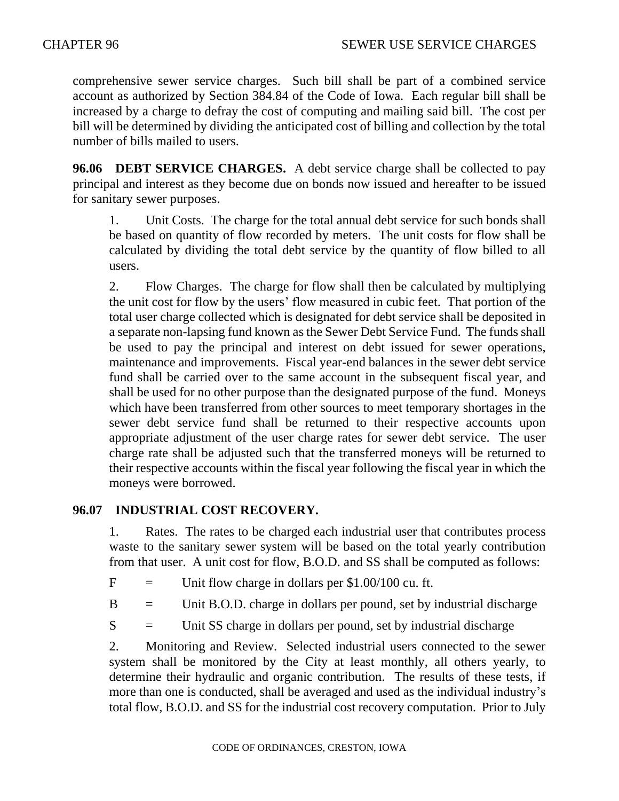comprehensive sewer service charges. Such bill shall be part of a combined service account as authorized by Section 384.84 of the Code of Iowa. Each regular bill shall be increased by a charge to defray the cost of computing and mailing said bill. The cost per bill will be determined by dividing the anticipated cost of billing and collection by the total number of bills mailed to users.

**96.06 DEBT SERVICE CHARGES.** A debt service charge shall be collected to pay principal and interest as they become due on bonds now issued and hereafter to be issued for sanitary sewer purposes.

1. Unit Costs. The charge for the total annual debt service for such bonds shall be based on quantity of flow recorded by meters. The unit costs for flow shall be calculated by dividing the total debt service by the quantity of flow billed to all users.

2. Flow Charges. The charge for flow shall then be calculated by multiplying the unit cost for flow by the users' flow measured in cubic feet. That portion of the total user charge collected which is designated for debt service shall be deposited in a separate non-lapsing fund known as the Sewer Debt Service Fund. The funds shall be used to pay the principal and interest on debt issued for sewer operations, maintenance and improvements. Fiscal year-end balances in the sewer debt service fund shall be carried over to the same account in the subsequent fiscal year, and shall be used for no other purpose than the designated purpose of the fund. Moneys which have been transferred from other sources to meet temporary shortages in the sewer debt service fund shall be returned to their respective accounts upon appropriate adjustment of the user charge rates for sewer debt service. The user charge rate shall be adjusted such that the transferred moneys will be returned to their respective accounts within the fiscal year following the fiscal year in which the moneys were borrowed.

# **96.07 INDUSTRIAL COST RECOVERY.**

1. Rates. The rates to be charged each industrial user that contributes process waste to the sanitary sewer system will be based on the total yearly contribution from that user. A unit cost for flow, B.O.D. and SS shall be computed as follows:

 $F =$  Unit flow charge in dollars per \$1.00/100 cu. ft.

 $B =$  Unit B.O.D. charge in dollars per pound, set by industrial discharge

 $S =$  Unit SS charge in dollars per pound, set by industrial discharge

2. Monitoring and Review. Selected industrial users connected to the sewer system shall be monitored by the City at least monthly, all others yearly, to determine their hydraulic and organic contribution. The results of these tests, if more than one is conducted, shall be averaged and used as the individual industry's total flow, B.O.D. and SS for the industrial cost recovery computation. Prior to July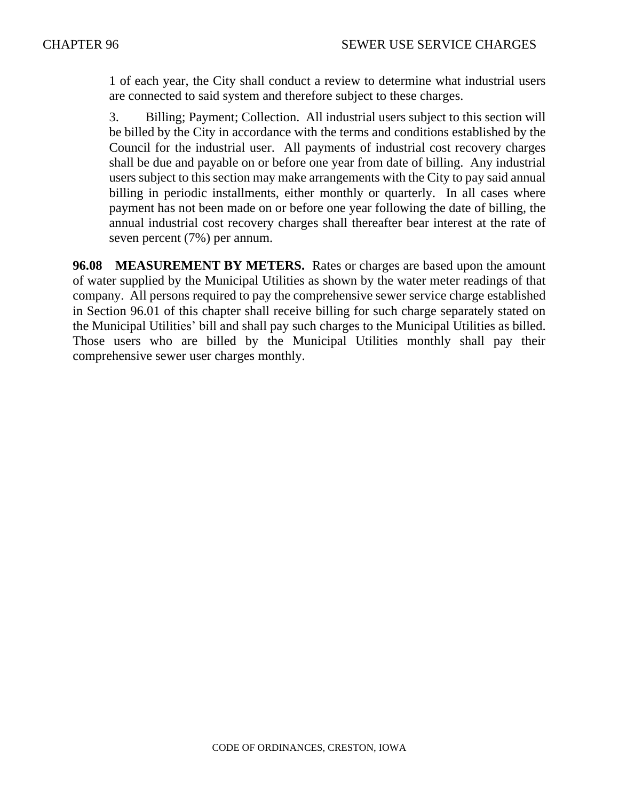1 of each year, the City shall conduct a review to determine what industrial users are connected to said system and therefore subject to these charges.

3. Billing; Payment; Collection. All industrial users subject to this section will be billed by the City in accordance with the terms and conditions established by the Council for the industrial user. All payments of industrial cost recovery charges shall be due and payable on or before one year from date of billing. Any industrial users subject to this section may make arrangements with the City to pay said annual billing in periodic installments, either monthly or quarterly. In all cases where payment has not been made on or before one year following the date of billing, the annual industrial cost recovery charges shall thereafter bear interest at the rate of seven percent (7%) per annum.

**96.08 MEASUREMENT BY METERS.** Rates or charges are based upon the amount of water supplied by the Municipal Utilities as shown by the water meter readings of that company. All persons required to pay the comprehensive sewer service charge established in Section 96.01 of this chapter shall receive billing for such charge separately stated on the Municipal Utilities' bill and shall pay such charges to the Municipal Utilities as billed. Those users who are billed by the Municipal Utilities monthly shall pay their comprehensive sewer user charges monthly.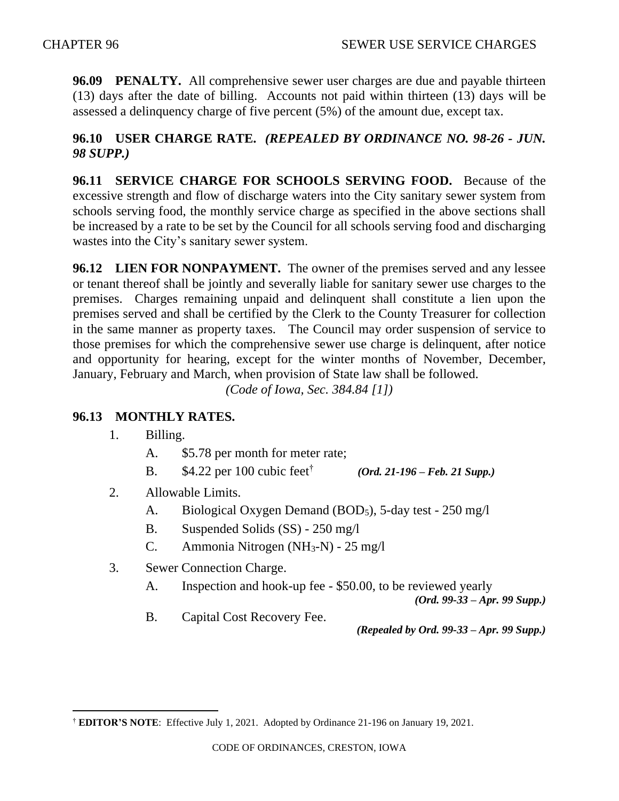**96.09 PENALTY.** All comprehensive sewer user charges are due and payable thirteen (13) days after the date of billing. Accounts not paid within thirteen (13) days will be assessed a delinquency charge of five percent (5%) of the amount due, except tax.

# **96.10 USER CHARGE RATE.** *(REPEALED BY ORDINANCE NO. 98-26 - JUN. 98 SUPP.)*

**96.11 SERVICE CHARGE FOR SCHOOLS SERVING FOOD.** Because of the excessive strength and flow of discharge waters into the City sanitary sewer system from schools serving food, the monthly service charge as specified in the above sections shall be increased by a rate to be set by the Council for all schools serving food and discharging wastes into the City's sanitary sewer system.

**96.12 LIEN FOR NONPAYMENT.** The owner of the premises served and any lessee or tenant thereof shall be jointly and severally liable for sanitary sewer use charges to the premises. Charges remaining unpaid and delinquent shall constitute a lien upon the premises served and shall be certified by the Clerk to the County Treasurer for collection in the same manner as property taxes. The Council may order suspension of service to those premises for which the comprehensive sewer use charge is delinquent, after notice and opportunity for hearing, except for the winter months of November, December, January, February and March, when provision of State law shall be followed.

*(Code of Iowa, Sec. 384.84 [1])* 

# **96.13 MONTHLY RATES.**

- 1. Billing.
	- A. \$5.78 per month for meter rate;
	- B.  $$4.22$  per 100 cubic feet<sup>†</sup> *(Ord. 21-196 – Feb. 21 Supp.)*
- 2. Allowable Limits.
	- A. Biological Oxygen Demand (BOD5), 5-day test 250 mg/l
	- B. Suspended Solids (SS) 250 mg/l
	- C. Ammonia Nitrogen (NH3-N) 25 mg/l
- 3. Sewer Connection Charge.
	- A. Inspection and hook-up fee \$50.00, to be reviewed yearly

*(Ord. 99-33 – Apr. 99 Supp.)*

B. Capital Cost Recovery Fee.

*(Repealed by Ord. 99-33 – Apr. 99 Supp.)* 

<sup>†</sup> **EDITOR'S NOTE**: Effective July 1, 2021. Adopted by Ordinance 21-196 on January 19, 2021.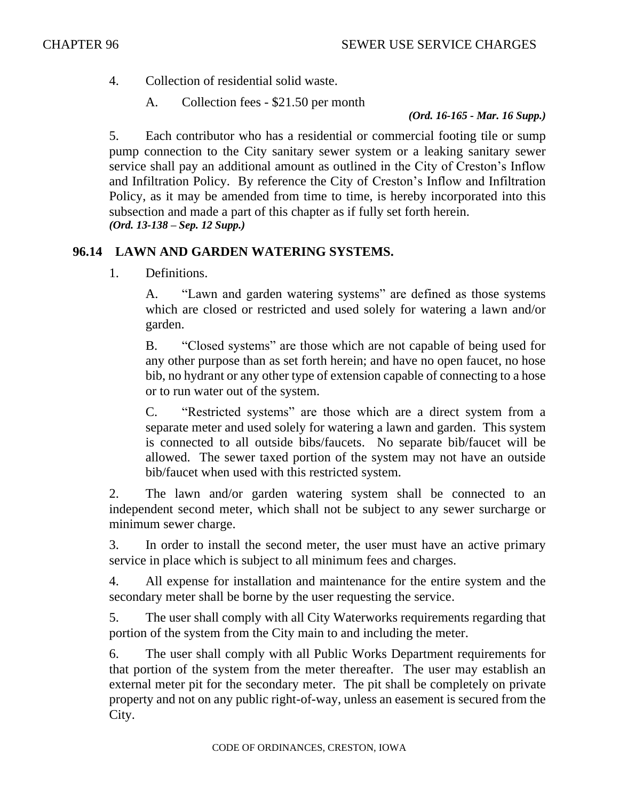4. Collection of residential solid waste.

A. Collection fees - \$21.50 per month

*(Ord. 16-165 - Mar. 16 Supp.)*

5. Each contributor who has a residential or commercial footing tile or sump pump connection to the City sanitary sewer system or a leaking sanitary sewer service shall pay an additional amount as outlined in the City of Creston's Inflow and Infiltration Policy. By reference the City of Creston's Inflow and Infiltration Policy, as it may be amended from time to time, is hereby incorporated into this subsection and made a part of this chapter as if fully set forth herein. *(Ord. 13-138 – Sep. 12 Supp.)*

### **96.14 LAWN AND GARDEN WATERING SYSTEMS.**

1. Definitions.

A. "Lawn and garden watering systems" are defined as those systems which are closed or restricted and used solely for watering a lawn and/or garden.

B. "Closed systems" are those which are not capable of being used for any other purpose than as set forth herein; and have no open faucet, no hose bib, no hydrant or any other type of extension capable of connecting to a hose or to run water out of the system.

C. "Restricted systems" are those which are a direct system from a separate meter and used solely for watering a lawn and garden. This system is connected to all outside bibs/faucets. No separate bib/faucet will be allowed. The sewer taxed portion of the system may not have an outside bib/faucet when used with this restricted system.

2. The lawn and/or garden watering system shall be connected to an independent second meter, which shall not be subject to any sewer surcharge or minimum sewer charge.

3. In order to install the second meter, the user must have an active primary service in place which is subject to all minimum fees and charges.

4. All expense for installation and maintenance for the entire system and the secondary meter shall be borne by the user requesting the service.

5. The user shall comply with all City Waterworks requirements regarding that portion of the system from the City main to and including the meter.

6. The user shall comply with all Public Works Department requirements for that portion of the system from the meter thereafter. The user may establish an external meter pit for the secondary meter. The pit shall be completely on private property and not on any public right-of-way, unless an easement is secured from the City.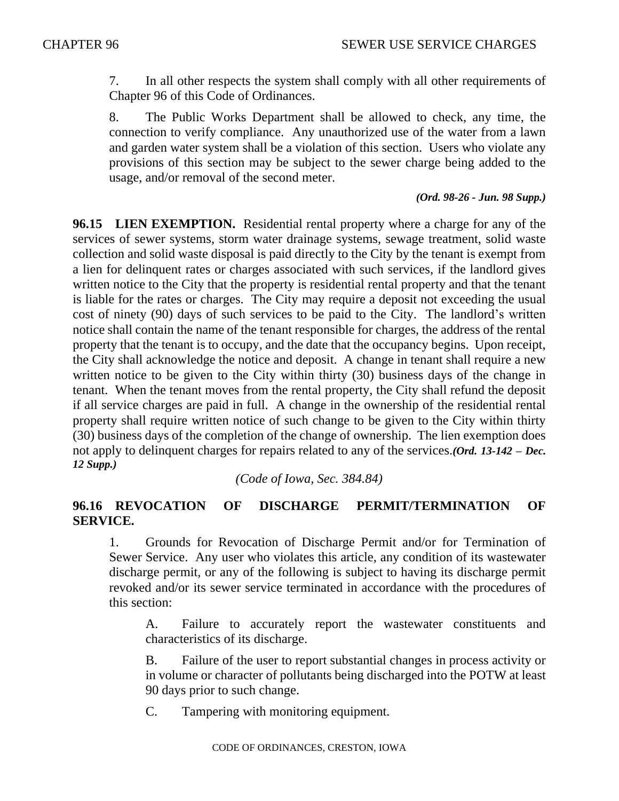7. In all other respects the system shall comply with all other requirements of Chapter 96 of this Code of Ordinances.

8. The Public Works Department shall be allowed to check, any time, the connection to verify compliance. Any unauthorized use of the water from a lawn and garden water system shall be a violation of this section. Users who violate any provisions of this section may be subject to the sewer charge being added to the usage, and/or removal of the second meter.

#### *(Ord. 98-26 - Jun. 98 Supp.)*

**96.15 LIEN EXEMPTION.** Residential rental property where a charge for any of the services of sewer systems, storm water drainage systems, sewage treatment, solid waste collection and solid waste disposal is paid directly to the City by the tenant is exempt from a lien for delinquent rates or charges associated with such services, if the landlord gives written notice to the City that the property is residential rental property and that the tenant is liable for the rates or charges. The City may require a deposit not exceeding the usual cost of ninety (90) days of such services to be paid to the City. The landlord's written notice shall contain the name of the tenant responsible for charges, the address of the rental property that the tenant is to occupy, and the date that the occupancy begins. Upon receipt, the City shall acknowledge the notice and deposit. A change in tenant shall require a new written notice to be given to the City within thirty (30) business days of the change in tenant. When the tenant moves from the rental property, the City shall refund the deposit if all service charges are paid in full. A change in the ownership of the residential rental property shall require written notice of such change to be given to the City within thirty (30) business days of the completion of the change of ownership. The lien exemption does not apply to delinquent charges for repairs related to any of the services.*(Ord. 13-142 – Dec. 12 Supp.)*

*(Code of Iowa, Sec. 384.84)*

#### **96.16 REVOCATION OF DISCHARGE PERMIT/TERMINATION OF SERVICE.**

1. Grounds for Revocation of Discharge Permit and/or for Termination of Sewer Service. Any user who violates this article, any condition of its wastewater discharge permit, or any of the following is subject to having its discharge permit revoked and/or its sewer service terminated in accordance with the procedures of this section:

A. Failure to accurately report the wastewater constituents and characteristics of its discharge.

B. Failure of the user to report substantial changes in process activity or in volume or character of pollutants being discharged into the POTW at least 90 days prior to such change.

C. Tampering with monitoring equipment.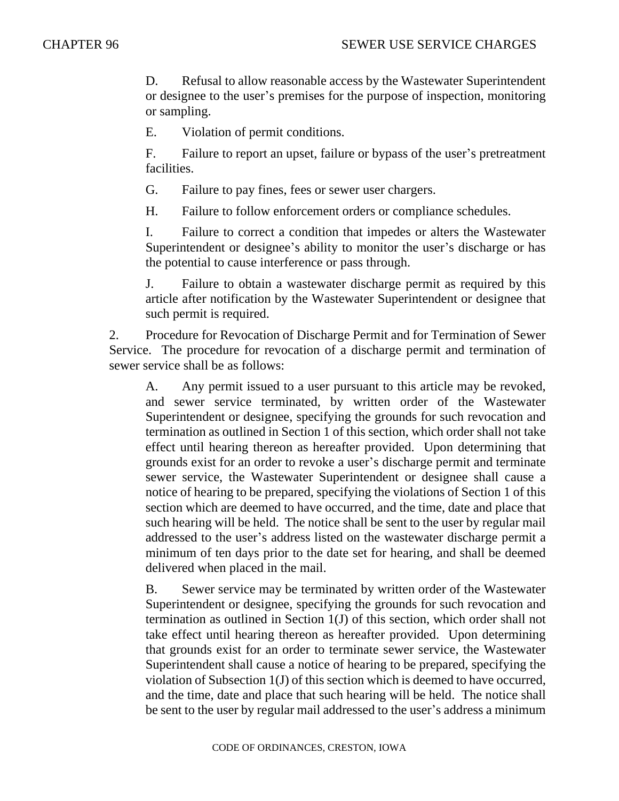D. Refusal to allow reasonable access by the Wastewater Superintendent or designee to the user's premises for the purpose of inspection, monitoring or sampling.

E. Violation of permit conditions.

F. Failure to report an upset, failure or bypass of the user's pretreatment facilities.

G. Failure to pay fines, fees or sewer user chargers.

H. Failure to follow enforcement orders or compliance schedules.

I. Failure to correct a condition that impedes or alters the Wastewater Superintendent or designee's ability to monitor the user's discharge or has the potential to cause interference or pass through.

J. Failure to obtain a wastewater discharge permit as required by this article after notification by the Wastewater Superintendent or designee that such permit is required.

2. Procedure for Revocation of Discharge Permit and for Termination of Sewer Service. The procedure for revocation of a discharge permit and termination of sewer service shall be as follows:

A. Any permit issued to a user pursuant to this article may be revoked, and sewer service terminated, by written order of the Wastewater Superintendent or designee, specifying the grounds for such revocation and termination as outlined in Section 1 of this section, which order shall not take effect until hearing thereon as hereafter provided. Upon determining that grounds exist for an order to revoke a user's discharge permit and terminate sewer service, the Wastewater Superintendent or designee shall cause a notice of hearing to be prepared, specifying the violations of Section 1 of this section which are deemed to have occurred, and the time, date and place that such hearing will be held. The notice shall be sent to the user by regular mail addressed to the user's address listed on the wastewater discharge permit a minimum of ten days prior to the date set for hearing, and shall be deemed delivered when placed in the mail.

B. Sewer service may be terminated by written order of the Wastewater Superintendent or designee, specifying the grounds for such revocation and termination as outlined in Section 1(J) of this section, which order shall not take effect until hearing thereon as hereafter provided. Upon determining that grounds exist for an order to terminate sewer service, the Wastewater Superintendent shall cause a notice of hearing to be prepared, specifying the violation of Subsection 1(J) of this section which is deemed to have occurred, and the time, date and place that such hearing will be held. The notice shall be sent to the user by regular mail addressed to the user's address a minimum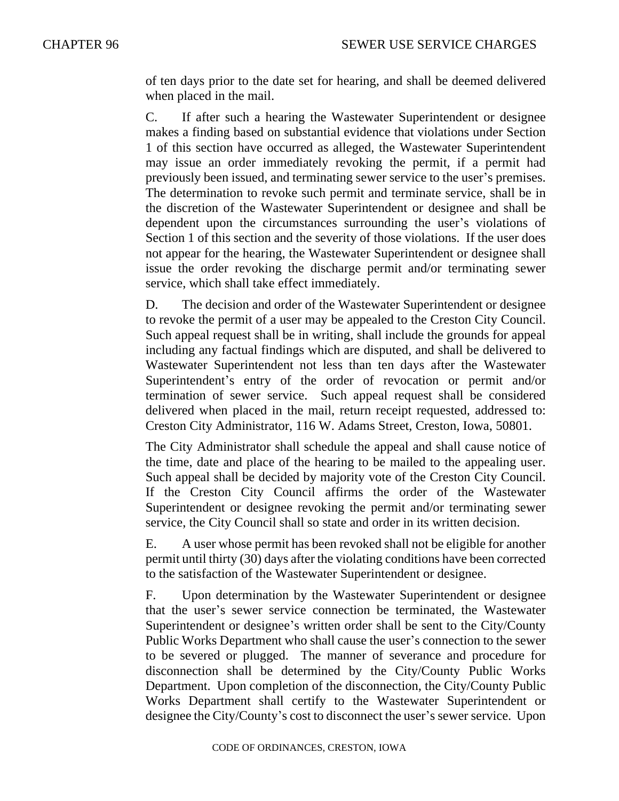of ten days prior to the date set for hearing, and shall be deemed delivered when placed in the mail.

C. If after such a hearing the Wastewater Superintendent or designee makes a finding based on substantial evidence that violations under Section 1 of this section have occurred as alleged, the Wastewater Superintendent may issue an order immediately revoking the permit, if a permit had previously been issued, and terminating sewer service to the user's premises. The determination to revoke such permit and terminate service, shall be in the discretion of the Wastewater Superintendent or designee and shall be dependent upon the circumstances surrounding the user's violations of Section 1 of this section and the severity of those violations. If the user does not appear for the hearing, the Wastewater Superintendent or designee shall issue the order revoking the discharge permit and/or terminating sewer service, which shall take effect immediately.

D. The decision and order of the Wastewater Superintendent or designee to revoke the permit of a user may be appealed to the Creston City Council. Such appeal request shall be in writing, shall include the grounds for appeal including any factual findings which are disputed, and shall be delivered to Wastewater Superintendent not less than ten days after the Wastewater Superintendent's entry of the order of revocation or permit and/or termination of sewer service. Such appeal request shall be considered delivered when placed in the mail, return receipt requested, addressed to: Creston City Administrator, 116 W. Adams Street, Creston, Iowa, 50801.

The City Administrator shall schedule the appeal and shall cause notice of the time, date and place of the hearing to be mailed to the appealing user. Such appeal shall be decided by majority vote of the Creston City Council. If the Creston City Council affirms the order of the Wastewater Superintendent or designee revoking the permit and/or terminating sewer service, the City Council shall so state and order in its written decision.

E. A user whose permit has been revoked shall not be eligible for another permit until thirty (30) days after the violating conditions have been corrected to the satisfaction of the Wastewater Superintendent or designee.

F. Upon determination by the Wastewater Superintendent or designee that the user's sewer service connection be terminated, the Wastewater Superintendent or designee's written order shall be sent to the City/County Public Works Department who shall cause the user's connection to the sewer to be severed or plugged. The manner of severance and procedure for disconnection shall be determined by the City/County Public Works Department. Upon completion of the disconnection, the City/County Public Works Department shall certify to the Wastewater Superintendent or designee the City/County's cost to disconnect the user's sewer service. Upon